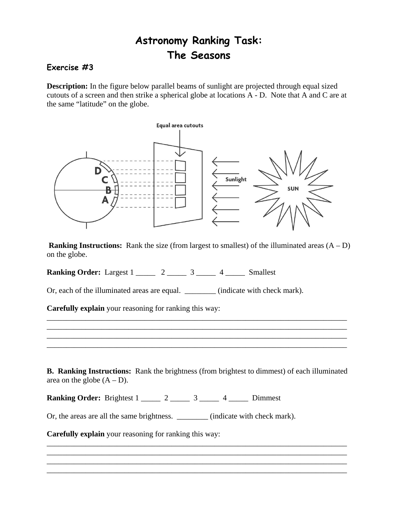## **Astronomy Ranking Task: The Seasons**

## **Exercise #3**

**Description:** In the figure below parallel beams of sunlight are projected through equal sized cutouts of a screen and then strike a spherical globe at locations A - D. Note that A and C are at the same "latitude" on the globe.



**Ranking Instructions:** Rank the size (from largest to smallest) of the illuminated areas  $(A - D)$ on the globe.

**Ranking Order:** Largest 1  $\overline{2}$  2  $\overline{3}$  4 Smallest

Or, each of the illuminated areas are equal. \_\_\_\_\_\_\_\_ (indicate with check mark).

**Carefully explain** your reasoning for ranking this way:

**B. Ranking Instructions:** Rank the brightness (from brightest to dimmest) of each illuminated area on the globe  $(A - D)$ .

\_\_\_\_\_\_\_\_\_\_\_\_\_\_\_\_\_\_\_\_\_\_\_\_\_\_\_\_\_\_\_\_\_\_\_\_\_\_\_\_\_\_\_\_\_\_\_\_\_\_\_\_\_\_\_\_\_\_\_\_\_\_\_\_\_\_\_\_\_\_\_\_\_\_\_\_\_ \_\_\_\_\_\_\_\_\_\_\_\_\_\_\_\_\_\_\_\_\_\_\_\_\_\_\_\_\_\_\_\_\_\_\_\_\_\_\_\_\_\_\_\_\_\_\_\_\_\_\_\_\_\_\_\_\_\_\_\_\_\_\_\_\_\_\_\_\_\_\_\_\_\_\_\_\_ \_\_\_\_\_\_\_\_\_\_\_\_\_\_\_\_\_\_\_\_\_\_\_\_\_\_\_\_\_\_\_\_\_\_\_\_\_\_\_\_\_\_\_\_\_\_\_\_\_\_\_\_\_\_\_\_\_\_\_\_\_\_\_\_\_\_\_\_\_\_\_\_\_\_\_\_\_ \_\_\_\_\_\_\_\_\_\_\_\_\_\_\_\_\_\_\_\_\_\_\_\_\_\_\_\_\_\_\_\_\_\_\_\_\_\_\_\_\_\_\_\_\_\_\_\_\_\_\_\_\_\_\_\_\_\_\_\_\_\_\_\_\_\_\_\_\_\_\_\_\_\_\_\_\_

\_\_\_\_\_\_\_\_\_\_\_\_\_\_\_\_\_\_\_\_\_\_\_\_\_\_\_\_\_\_\_\_\_\_\_\_\_\_\_\_\_\_\_\_\_\_\_\_\_\_\_\_\_\_\_\_\_\_\_\_\_\_\_\_\_\_\_\_\_\_\_\_\_\_\_\_\_ \_\_\_\_\_\_\_\_\_\_\_\_\_\_\_\_\_\_\_\_\_\_\_\_\_\_\_\_\_\_\_\_\_\_\_\_\_\_\_\_\_\_\_\_\_\_\_\_\_\_\_\_\_\_\_\_\_\_\_\_\_\_\_\_\_\_\_\_\_\_\_\_\_\_\_\_\_ \_\_\_\_\_\_\_\_\_\_\_\_\_\_\_\_\_\_\_\_\_\_\_\_\_\_\_\_\_\_\_\_\_\_\_\_\_\_\_\_\_\_\_\_\_\_\_\_\_\_\_\_\_\_\_\_\_\_\_\_\_\_\_\_\_\_\_\_\_\_\_\_\_\_\_\_\_ \_\_\_\_\_\_\_\_\_\_\_\_\_\_\_\_\_\_\_\_\_\_\_\_\_\_\_\_\_\_\_\_\_\_\_\_\_\_\_\_\_\_\_\_\_\_\_\_\_\_\_\_\_\_\_\_\_\_\_\_\_\_\_\_\_\_\_\_\_\_\_\_\_\_\_\_\_

**Ranking Order:** Brightest 1  $\overline{2}$  2  $\overline{3}$  4 Dimmest

Or, the areas are all the same brightness. \_\_\_\_\_\_\_\_ (indicate with check mark).

**Carefully explain** your reasoning for ranking this way: